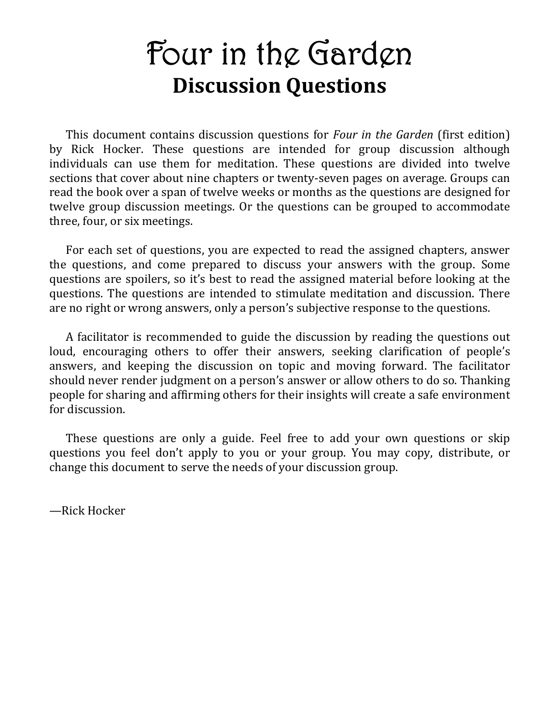# **Four in the Garden Discussion Questions**

This document contains discussion questions for *Four in the Garden* (first edition) by Rick Hocker. These questions are intended for group discussion although individuals can use them for meditation. These questions are divided into twelve sections that cover about nine chapters or twenty-seven pages on average. Groups can read the book over a span of twelve weeks or months as the questions are designed for twelve group discussion meetings. Or the questions can be grouped to accommodate three, four, or six meetings.

For each set of questions, you are expected to read the assigned chapters, answer the questions, and come prepared to discuss your answers with the group. Some questions are spoilers, so it's best to read the assigned material before looking at the questions. The questions are intended to stimulate meditation and discussion. There are no right or wrong answers, only a person's subjective response to the questions.

A facilitator is recommended to guide the discussion by reading the questions out loud, encouraging others to offer their answers, seeking clarification of people's answers, and keeping the discussion on topic and moving forward. The facilitator should never render judgment on a person's answer or allow others to do so. Thanking people for sharing and affirming others for their insights will create a safe environment for discussion.

These questions are only a guide. Feel free to add your own questions or skip questions you feel don't apply to you or your group. You may copy, distribute, or change this document to serve the needs of your discussion group.

—Rick Hocker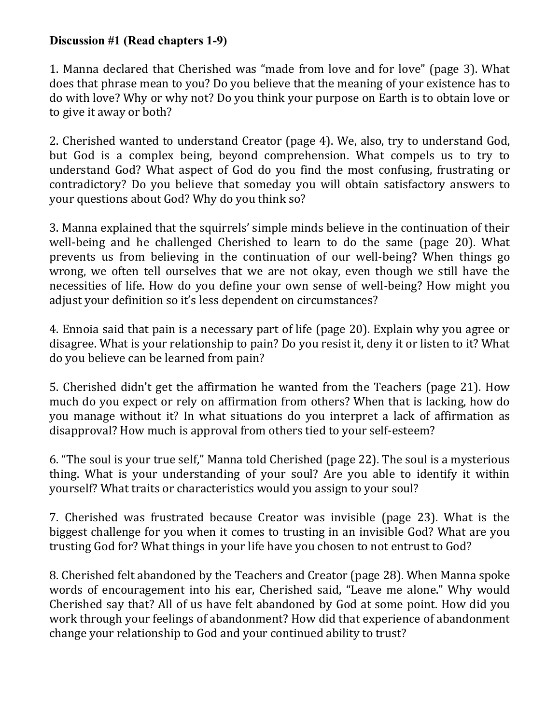## **Discussion #1 (Read chapters 1-9)**

1. Manna declared that Cherished was "made from love and for love" (page 3). What does that phrase mean to you? Do you believe that the meaning of your existence has to do with love? Why or why not? Do you think your purpose on Earth is to obtain love or to give it away or both?

2. Cherished wanted to understand Creator (page 4). We, also, try to understand God, but God is a complex being, beyond comprehension. What compels us to try to understand God? What aspect of God do you find the most confusing, frustrating or contradictory? Do you believe that someday you will obtain satisfactory answers to your questions about God? Why do you think so?

3. Manna explained that the squirrels' simple minds believe in the continuation of their well-being and he challenged Cherished to learn to do the same (page 20). What prevents us from believing in the continuation of our well-being? When things go wrong, we often tell ourselves that we are not okay, even though we still have the necessities of life. How do you define your own sense of well-being? How might you adjust your definition so it's less dependent on circumstances?

4. Ennoia said that pain is a necessary part of life (page 20). Explain why you agree or disagree. What is your relationship to pain? Do you resist it, deny it or listen to it? What do you believe can be learned from pain?

5. Cherished didn't get the affirmation he wanted from the Teachers (page 21). How much do you expect or rely on affirmation from others? When that is lacking, how do you manage without it? In what situations do you interpret a lack of affirmation as disapproval? How much is approval from others tied to your self-esteem?

6. "The soul is your true self," Manna told Cherished (page 22). The soul is a mysterious thing. What is your understanding of your soul? Are you able to identify it within yourself? What traits or characteristics would you assign to your soul?

7. Cherished was frustrated because Creator was invisible (page 23). What is the biggest challenge for you when it comes to trusting in an invisible God? What are you trusting God for? What things in your life have you chosen to not entrust to God?

8. Cherished felt abandoned by the Teachers and Creator (page 28). When Manna spoke words of encouragement into his ear, Cherished said, "Leave me alone." Why would Cherished say that? All of us have felt abandoned by God at some point. How did you work through your feelings of abandonment? How did that experience of abandonment change your relationship to God and your continued ability to trust?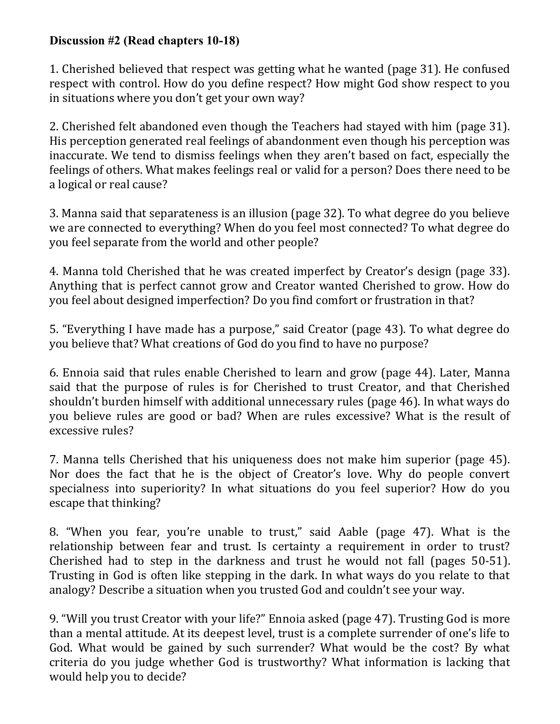## **Discussion #2 (Read chapters 10-18)**

1. Cherished believed that respect was getting what he wanted (page 31). He confused respect with control. How do you define respect? How might God show respect to you in situations where you don't get your own way?

2. Cherished felt abandoned even though the Teachers had stayed with him (page 31). His perception generated real feelings of abandonment even though his perception was inaccurate. We tend to dismiss feelings when they aren't based on fact, especially the feelings of others. What makes feelings real or valid for a person? Does there need to be a logical or real cause?

3. Manna said that separateness is an illusion (page 32). To what degree do you believe we are connected to everything? When do you feel most connected? To what degree do you feel separate from the world and other people?

4. Manna told Cherished that he was created imperfect by Creator's design (page 33). Anything that is perfect cannot grow and Creator wanted Cherished to grow. How do you feel about designed imperfection? Do you find comfort or frustration in that?

5. "Everything I have made has a purpose," said Creator (page 43). To what degree do you believe that? What creations of God do you find to have no purpose?

6. Ennoia said that rules enable Cherished to learn and grow (page 44). Later, Manna said that the purpose of rules is for Cherished to trust Creator, and that Cherished shouldn't burden himself with additional unnecessary rules (page 46). In what ways do you believe rules are good or bad? When are rules excessive? What is the result of excessive rules?

7. Manna tells Cherished that his uniqueness does not make him superior (page 45). Nor does the fact that he is the object of Creator's love. Why do people convert specialness into superiority? In what situations do you feel superior? How do you escape that thinking?

8. "When you fear, you're unable to trust," said Aable (page 47). What is the relationship between fear and trust. Is certainty a requirement in order to trust? Cherished had to step in the darkness and trust he would not fall (pages 50-51). Trusting in God is often like stepping in the dark. In what ways do you relate to that analogy? Describe a situation when you trusted God and couldn't see your way.

9. "Will you trust Creator with your life?" Ennoia asked (page 47). Trusting God is more than a mental attitude. At its deepest level, trust is a complete surrender of one's life to God. What would be gained by such surrender? What would be the cost? By what criteria do you judge whether God is trustworthy? What information is lacking that would help you to decide?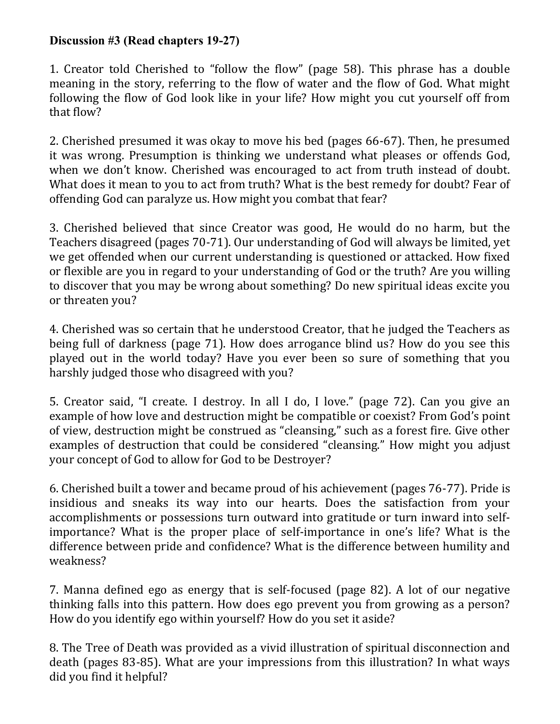## **Discussion #3 (Read chapters 19-27)**

1. Creator told Cherished to "follow the flow" (page 58). This phrase has a double meaning in the story, referring to the flow of water and the flow of God. What might following the flow of God look like in your life? How might you cut yourself off from that flow?

2. Cherished presumed it was okay to move his bed (pages 66-67). Then, he presumed it was wrong. Presumption is thinking we understand what pleases or offends God, when we don't know. Cherished was encouraged to act from truth instead of doubt. What does it mean to you to act from truth? What is the best remedy for doubt? Fear of offending God can paralyze us. How might you combat that fear?

3. Cherished believed that since Creator was good, He would do no harm, but the Teachers disagreed (pages 70-71). Our understanding of God will always be limited, yet we get offended when our current understanding is questioned or attacked. How fixed or flexible are you in regard to your understanding of God or the truth? Are you willing to discover that you may be wrong about something? Do new spiritual ideas excite you or threaten you?

4. Cherished was so certain that he understood Creator, that he judged the Teachers as being full of darkness (page 71). How does arrogance blind us? How do you see this played out in the world today? Have you ever been so sure of something that you harshly judged those who disagreed with you?

5. Creator said, "I create. I destroy. In all I do, I love." (page 72). Can you give an example of how love and destruction might be compatible or coexist? From God's point of view, destruction might be construed as "cleansing," such as a forest fire. Give other examples of destruction that could be considered "cleansing." How might you adjust your concept of God to allow for God to be Destroyer?

6. Cherished built a tower and became proud of his achievement (pages 76-77). Pride is insidious and sneaks its way into our hearts. Does the satisfaction from your accomplishments or possessions turn outward into gratitude or turn inward into selfimportance? What is the proper place of self-importance in one's life? What is the difference between pride and confidence? What is the difference between humility and weakness?

7. Manna defined ego as energy that is self-focused (page 82). A lot of our negative thinking falls into this pattern. How does ego prevent you from growing as a person? How do you identify ego within yourself? How do you set it aside?

8. The Tree of Death was provided as a vivid illustration of spiritual disconnection and death (pages 83-85). What are your impressions from this illustration? In what ways did you find it helpful?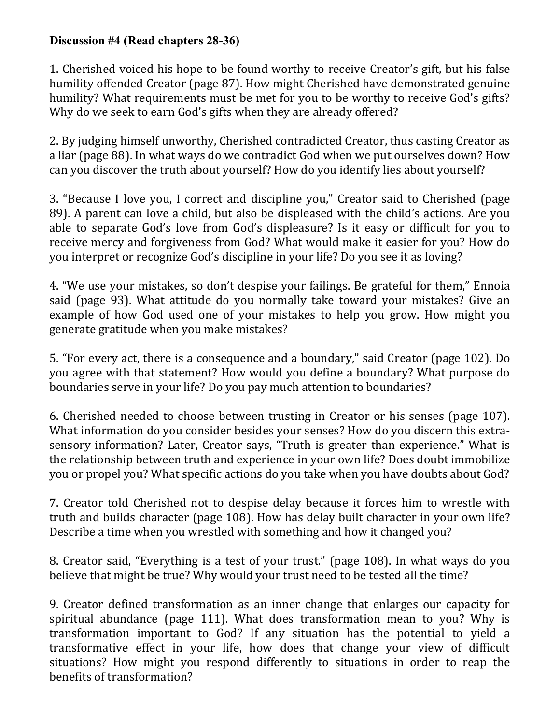## **Discussion #4 (Read chapters 28-36)**

1. Cherished voiced his hope to be found worthy to receive Creator's gift, but his false humility offended Creator (page 87). How might Cherished have demonstrated genuine humility? What requirements must be met for you to be worthy to receive God's gifts? Why do we seek to earn God's gifts when they are already offered?

2. By judging himself unworthy, Cherished contradicted Creator, thus casting Creator as a liar (page 88). In what ways do we contradict God when we put ourselves down? How can you discover the truth about yourself? How do you identify lies about yourself?

3. "Because I love you, I correct and discipline you," Creator said to Cherished (page 89). A parent can love a child, but also be displeased with the child's actions. Are you able to separate God's love from God's displeasure? Is it easy or difficult for you to receive mercy and forgiveness from God? What would make it easier for you? How do you interpret or recognize God's discipline in your life? Do you see it as loving?

4. "We use your mistakes, so don't despise your failings. Be grateful for them," Ennoia said (page 93). What attitude do you normally take toward your mistakes? Give an example of how God used one of your mistakes to help you grow. How might you generate gratitude when you make mistakes?

5. "For every act, there is a consequence and a boundary," said Creator (page 102). Do you agree with that statement? How would you define a boundary? What purpose do boundaries serve in your life? Do you pay much attention to boundaries?

6. Cherished needed to choose between trusting in Creator or his senses (page 107). What information do you consider besides your senses? How do you discern this extrasensory information? Later, Creator says, "Truth is greater than experience." What is the relationship between truth and experience in your own life? Does doubt immobilize you or propel you? What specific actions do you take when you have doubts about God?

7. Creator told Cherished not to despise delay because it forces him to wrestle with truth and builds character (page 108). How has delay built character in your own life? Describe a time when you wrestled with something and how it changed you?

8. Creator said, "Everything is a test of your trust." (page 108). In what ways do you believe that might be true? Why would your trust need to be tested all the time?

9. Creator defined transformation as an inner change that enlarges our capacity for spiritual abundance (page 111). What does transformation mean to you? Why is transformation important to God? If any situation has the potential to yield a transformative effect in your life, how does that change your view of difficult situations? How might you respond differently to situations in order to reap the benefits of transformation?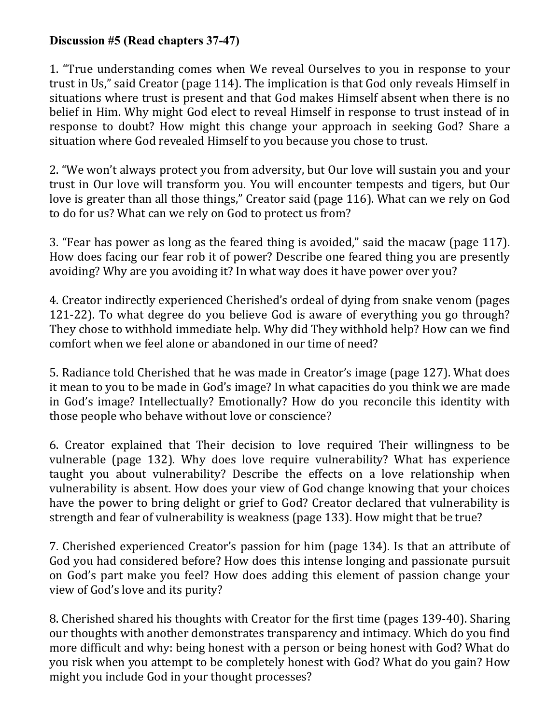## **Discussion #5 (Read chapters 37-47)**

1. "True understanding comes when We reveal Ourselves to you in response to your trust in Us," said Creator (page 114). The implication is that God only reveals Himself in situations where trust is present and that God makes Himself absent when there is no belief in Him. Why might God elect to reveal Himself in response to trust instead of in response to doubt? How might this change your approach in seeking God? Share a situation where God revealed Himself to you because you chose to trust.

2. "We won't always protect you from adversity, but Our love will sustain you and your trust in Our love will transform you. You will encounter tempests and tigers, but Our love is greater than all those things," Creator said (page 116). What can we rely on God to do for us? What can we rely on God to protect us from?

3. "Fear has power as long as the feared thing is avoided," said the macaw (page 117). How does facing our fear rob it of power? Describe one feared thing you are presently avoiding? Why are you avoiding it? In what way does it have power over you?

4. Creator indirectly experienced Cherished's ordeal of dying from snake venom (pages 121-22). To what degree do you believe God is aware of everything you go through? They chose to withhold immediate help. Why did They withhold help? How can we find comfort when we feel alone or abandoned in our time of need?

5. Radiance told Cherished that he was made in Creator's image (page 127). What does it mean to you to be made in God's image? In what capacities do you think we are made in God's image? Intellectually? Emotionally? How do you reconcile this identity with those people who behave without love or conscience?

6. Creator explained that Their decision to love required Their willingness to be vulnerable (page 132). Why does love require vulnerability? What has experience taught you about vulnerability? Describe the effects on a love relationship when vulnerability is absent. How does your view of God change knowing that your choices have the power to bring delight or grief to God? Creator declared that vulnerability is strength and fear of vulnerability is weakness (page 133). How might that be true?

7. Cherished experienced Creator's passion for him (page 134). Is that an attribute of God you had considered before? How does this intense longing and passionate pursuit on God's part make you feel? How does adding this element of passion change your view of God's love and its purity?

8. Cherished shared his thoughts with Creator for the first time (pages 139-40). Sharing our thoughts with another demonstrates transparency and intimacy. Which do you find more difficult and why: being honest with a person or being honest with God? What do you risk when you attempt to be completely honest with God? What do you gain? How might you include God in your thought processes?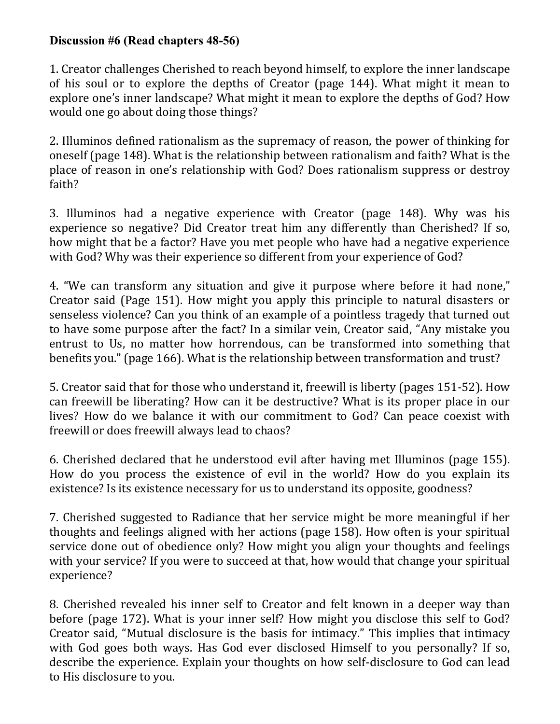## **Discussion #6 (Read chapters 48-56)**

1. Creator challenges Cherished to reach beyond himself, to explore the inner landscape of his soul or to explore the depths of Creator (page 144). What might it mean to explore one's inner landscape? What might it mean to explore the depths of God? How would one go about doing those things?

2. Illuminos defined rationalism as the supremacy of reason, the power of thinking for oneself (page 148). What is the relationship between rationalism and faith? What is the place of reason in one's relationship with God? Does rationalism suppress or destroy faith?

3. Illuminos had a negative experience with Creator (page 148). Why was his experience so negative? Did Creator treat him any differently than Cherished? If so, how might that be a factor? Have you met people who have had a negative experience with God? Why was their experience so different from your experience of God?

4. "We can transform any situation and give it purpose where before it had none," Creator said (Page 151). How might you apply this principle to natural disasters or senseless violence? Can you think of an example of a pointless tragedy that turned out to have some purpose after the fact? In a similar vein, Creator said, "Any mistake you entrust to Us, no matter how horrendous, can be transformed into something that benefits you." (page 166). What is the relationship between transformation and trust?

5. Creator said that for those who understand it, freewill is liberty (pages 151-52). How can freewill be liberating? How can it be destructive? What is its proper place in our lives? How do we balance it with our commitment to God? Can peace coexist with freewill or does freewill always lead to chaos?

6. Cherished declared that he understood evil after having met Illuminos (page 155). How do you process the existence of evil in the world? How do you explain its existence? Is its existence necessary for us to understand its opposite, goodness?

7. Cherished suggested to Radiance that her service might be more meaningful if her thoughts and feelings aligned with her actions (page 158). How often is your spiritual service done out of obedience only? How might you align your thoughts and feelings with your service? If you were to succeed at that, how would that change your spiritual experience?

8. Cherished revealed his inner self to Creator and felt known in a deeper way than before (page 172). What is your inner self? How might you disclose this self to God? Creator said, "Mutual disclosure is the basis for intimacy." This implies that intimacy with God goes both ways. Has God ever disclosed Himself to you personally? If so, describe the experience. Explain your thoughts on how self-disclosure to God can lead to His disclosure to you.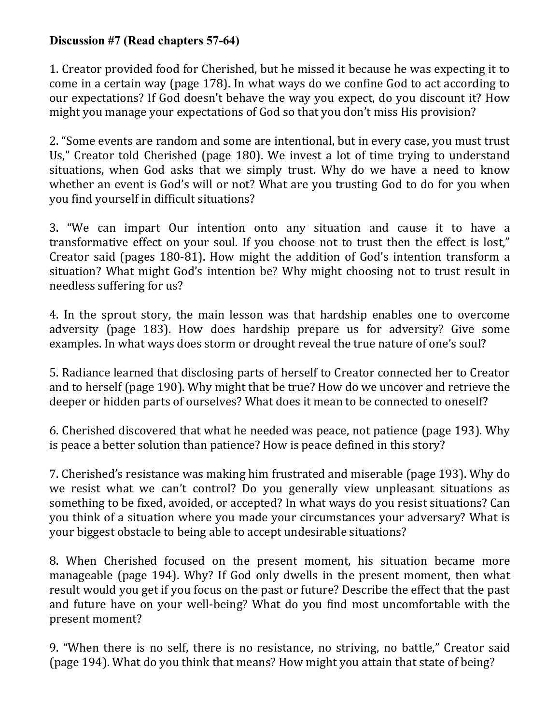## **Discussion #7 (Read chapters 57-64)**

1. Creator provided food for Cherished, but he missed it because he was expecting it to come in a certain way (page 178). In what ways do we confine God to act according to our expectations? If God doesn't behave the way you expect, do you discount it? How might you manage your expectations of God so that you don't miss His provision?

2. "Some events are random and some are intentional, but in every case, you must trust Us," Creator told Cherished (page 180). We invest a lot of time trying to understand situations, when God asks that we simply trust. Why do we have a need to know whether an event is God's will or not? What are you trusting God to do for you when you find yourself in difficult situations?

3. "We can impart Our intention onto any situation and cause it to have a transformative effect on your soul. If you choose not to trust then the effect is lost," Creator said (pages 180-81). How might the addition of God's intention transform a situation? What might God's intention be? Why might choosing not to trust result in needless suffering for us?

4. In the sprout story, the main lesson was that hardship enables one to overcome adversity (page 183). How does hardship prepare us for adversity? Give some examples. In what ways does storm or drought reveal the true nature of one's soul?

5. Radiance learned that disclosing parts of herself to Creator connected her to Creator and to herself (page 190). Why might that be true? How do we uncover and retrieve the deeper or hidden parts of ourselves? What does it mean to be connected to oneself?

6. Cherished discovered that what he needed was peace, not patience (page 193). Why is peace a better solution than patience? How is peace defined in this story?

7. Cherished's resistance was making him frustrated and miserable (page 193). Why do we resist what we can't control? Do you generally view unpleasant situations as something to be fixed, avoided, or accepted? In what ways do you resist situations? Can you think of a situation where you made your circumstances your adversary? What is your biggest obstacle to being able to accept undesirable situations?

8. When Cherished focused on the present moment, his situation became more manageable (page 194). Why? If God only dwells in the present moment, then what result would you get if you focus on the past or future? Describe the effect that the past and future have on your well-being? What do you find most uncomfortable with the present moment?

9. "When there is no self, there is no resistance, no striving, no battle," Creator said (page 194). What do you think that means? How might you attain that state of being?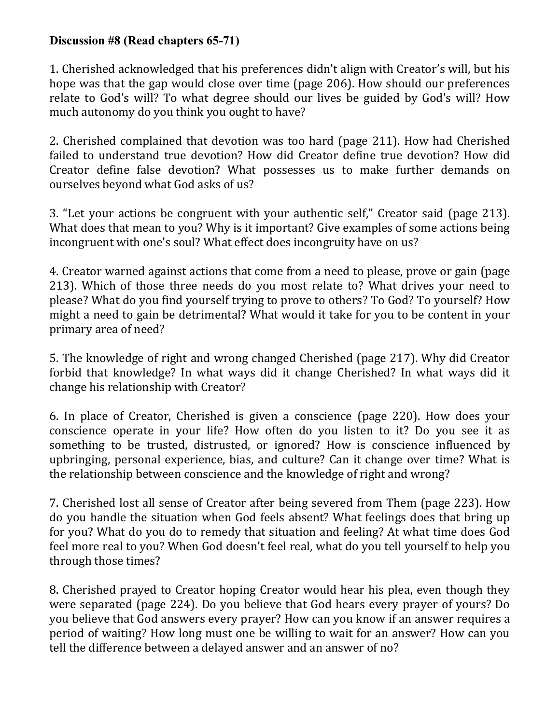## **Discussion #8 (Read chapters 65-71)**

1. Cherished acknowledged that his preferences didn't align with Creator's will, but his hope was that the gap would close over time (page 206). How should our preferences relate to God's will? To what degree should our lives be guided by God's will? How much autonomy do you think you ought to have?

2. Cherished complained that devotion was too hard (page 211). How had Cherished failed to understand true devotion? How did Creator define true devotion? How did Creator define false devotion? What possesses us to make further demands on ourselves beyond what God asks of us?

3. "Let your actions be congruent with your authentic self," Creator said (page 213). What does that mean to you? Why is it important? Give examples of some actions being incongruent with one's soul? What effect does incongruity have on us?

4. Creator warned against actions that come from a need to please, prove or gain (page 213). Which of those three needs do you most relate to? What drives your need to please? What do you find yourself trying to prove to others? To God? To yourself? How might a need to gain be detrimental? What would it take for you to be content in your primary area of need?

5. The knowledge of right and wrong changed Cherished (page 217). Why did Creator forbid that knowledge? In what ways did it change Cherished? In what ways did it change his relationship with Creator?

6. In place of Creator, Cherished is given a conscience (page 220). How does your conscience operate in your life? How often do you listen to it? Do you see it as something to be trusted, distrusted, or ignored? How is conscience influenced by upbringing, personal experience, bias, and culture? Can it change over time? What is the relationship between conscience and the knowledge of right and wrong?

7. Cherished lost all sense of Creator after being severed from Them (page 223). How do you handle the situation when God feels absent? What feelings does that bring up for you? What do you do to remedy that situation and feeling? At what time does God feel more real to you? When God doesn't feel real, what do you tell yourself to help you through those times?

8. Cherished prayed to Creator hoping Creator would hear his plea, even though they were separated (page 224). Do you believe that God hears every prayer of yours? Do you believe that God answers every prayer? How can you know if an answer requires a period of waiting? How long must one be willing to wait for an answer? How can you tell the difference between a delayed answer and an answer of no?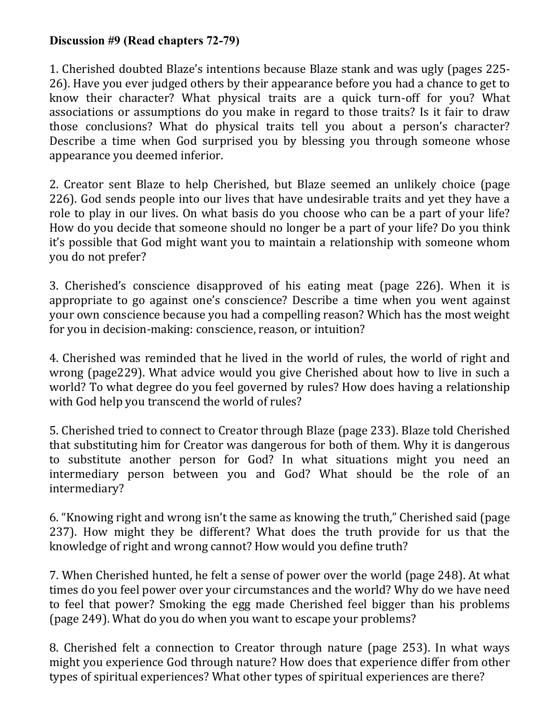## **Discussion #9 (Read chapters 72-79)**

1. Cherished doubted Blaze's intentions because Blaze stank and was ugly (pages 225- 26). Have you ever judged others by their appearance before you had a chance to get to know their character? What physical traits are a quick turn-off for you? What associations or assumptions do you make in regard to those traits? Is it fair to draw those conclusions? What do physical traits tell you about a person's character? Describe a time when God surprised you by blessing you through someone whose appearance you deemed inferior.

2. Creator sent Blaze to help Cherished, but Blaze seemed an unlikely choice (page 226). God sends people into our lives that have undesirable traits and yet they have a role to play in our lives. On what basis do you choose who can be a part of your life? How do you decide that someone should no longer be a part of your life? Do you think it's possible that God might want you to maintain a relationship with someone whom you do not prefer?

3. Cherished's conscience disapproved of his eating meat (page 226). When it is appropriate to go against one's conscience? Describe a time when you went against your own conscience because you had a compelling reason? Which has the most weight for you in decision-making: conscience, reason, or intuition?

4. Cherished was reminded that he lived in the world of rules, the world of right and wrong (page229). What advice would you give Cherished about how to live in such a world? To what degree do you feel governed by rules? How does having a relationship with God help you transcend the world of rules?

5. Cherished tried to connect to Creator through Blaze (page 233). Blaze told Cherished that substituting him for Creator was dangerous for both of them. Why it is dangerous to substitute another person for God? In what situations might you need an intermediary person between you and God? What should be the role of an intermediary?

6. "Knowing right and wrong isn't the same as knowing the truth," Cherished said (page 237). How might they be different? What does the truth provide for us that the knowledge of right and wrong cannot? How would you define truth?

7. When Cherished hunted, he felt a sense of power over the world (page 248). At what times do you feel power over your circumstances and the world? Why do we have need to feel that power? Smoking the egg made Cherished feel bigger than his problems (page 249). What do you do when you want to escape your problems?

8. Cherished felt a connection to Creator through nature (page 253). In what ways might you experience God through nature? How does that experience differ from other types of spiritual experiences? What other types of spiritual experiences are there?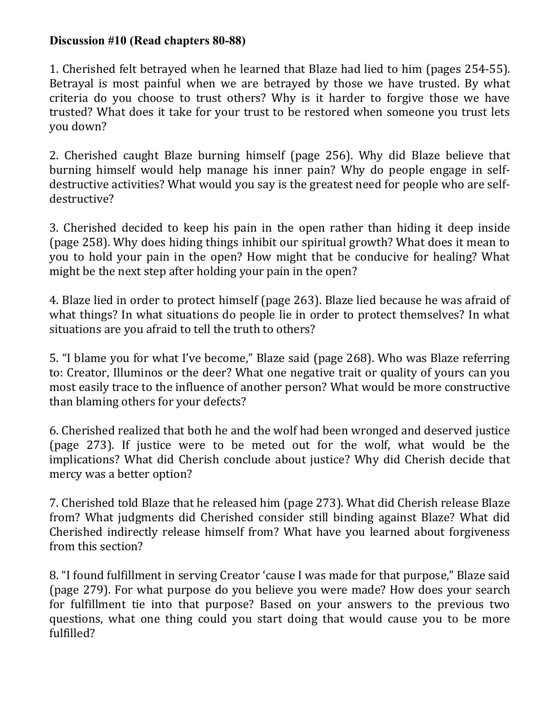#### **Discussion #10 (Read chapters 80-88)**

1. Cherished felt betrayed when he learned that Blaze had lied to him (pages 254-55). Betrayal is most painful when we are betrayed by those we have trusted. By what criteria do you choose to trust others? Why is it harder to forgive those we have trusted? What does it take for your trust to be restored when someone you trust lets you down?

2. Cherished caught Blaze burning himself (page 256). Why did Blaze believe that burning himself would help manage his inner pain? Why do people engage in selfdestructive activities? What would you say is the greatest need for people who are selfdestructive?

3. Cherished decided to keep his pain in the open rather than hiding it deep inside (page 258). Why does hiding things inhibit our spiritual growth? What does it mean to you to hold your pain in the open? How might that be conducive for healing? What might be the next step after holding your pain in the open?

4. Blaze lied in order to protect himself (page 263). Blaze lied because he was afraid of what things? In what situations do people lie in order to protect themselves? In what situations are you afraid to tell the truth to others?

5. "I blame you for what I've become," Blaze said (page 268). Who was Blaze referring to: Creator, Illuminos or the deer? What one negative trait or quality of yours can you most easily trace to the influence of another person? What would be more constructive than blaming others for your defects?

6. Cherished realized that both he and the wolf had been wronged and deserved justice (page 273). If justice were to be meted out for the wolf, what would be the implications? What did Cherish conclude about justice? Why did Cherish decide that mercy was a better option?

7. Cherished told Blaze that he released him (page 273). What did Cherish release Blaze from? What judgments did Cherished consider still binding against Blaze? What did Cherished indirectly release himself from? What have you learned about forgiveness from this section?

8. "I found fulfillment in serving Creator 'cause I was made for that purpose," Blaze said (page 279). For what purpose do you believe you were made? How does your search for fulfillment tie into that purpose? Based on your answers to the previous two questions, what one thing could you start doing that would cause you to be more fulfilled?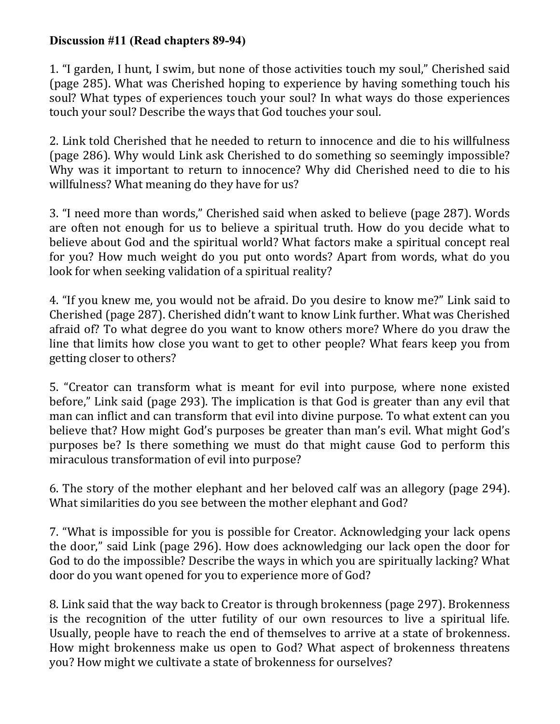## **Discussion #11 (Read chapters 89-94)**

1. "I garden, I hunt, I swim, but none of those activities touch my soul," Cherished said (page 285). What was Cherished hoping to experience by having something touch his soul? What types of experiences touch your soul? In what ways do those experiences touch your soul? Describe the ways that God touches your soul.

2. Link told Cherished that he needed to return to innocence and die to his willfulness (page 286). Why would Link ask Cherished to do something so seemingly impossible? Why was it important to return to innocence? Why did Cherished need to die to his willfulness? What meaning do they have for us?

3. "I need more than words," Cherished said when asked to believe (page 287). Words are often not enough for us to believe a spiritual truth. How do you decide what to believe about God and the spiritual world? What factors make a spiritual concept real for you? How much weight do you put onto words? Apart from words, what do you look for when seeking validation of a spiritual reality?

4. "If you knew me, you would not be afraid. Do you desire to know me?" Link said to Cherished (page 287). Cherished didn't want to know Link further. What was Cherished afraid of? To what degree do you want to know others more? Where do you draw the line that limits how close you want to get to other people? What fears keep you from getting closer to others?

5. "Creator can transform what is meant for evil into purpose, where none existed before," Link said (page 293). The implication is that God is greater than any evil that man can inflict and can transform that evil into divine purpose. To what extent can you believe that? How might God's purposes be greater than man's evil. What might God's purposes be? Is there something we must do that might cause God to perform this miraculous transformation of evil into purpose?

6. The story of the mother elephant and her beloved calf was an allegory (page 294). What similarities do you see between the mother elephant and God?

7. "What is impossible for you is possible for Creator. Acknowledging your lack opens the door," said Link (page 296). How does acknowledging our lack open the door for God to do the impossible? Describe the ways in which you are spiritually lacking? What door do you want opened for you to experience more of God?

8. Link said that the way back to Creator is through brokenness (page 297). Brokenness is the recognition of the utter futility of our own resources to live a spiritual life. Usually, people have to reach the end of themselves to arrive at a state of brokenness. How might brokenness make us open to God? What aspect of brokenness threatens you? How might we cultivate a state of brokenness for ourselves?